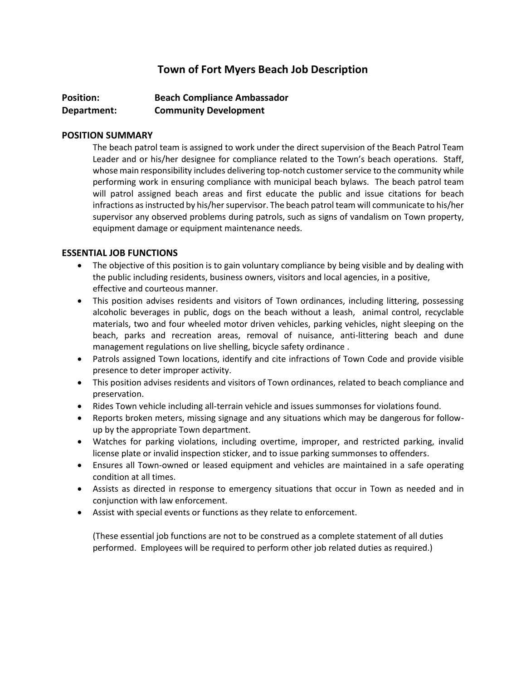# **Town of Fort Myers Beach Job Description**

| <b>Position:</b> | <b>Beach Compliance Ambassador</b> |
|------------------|------------------------------------|
| Department:      | <b>Community Development</b>       |

#### **POSITION SUMMARY**

The beach patrol team is assigned to work under the direct supervision of the Beach Patrol Team Leader and or his/her designee for compliance related to the Town's beach operations. Staff, whose main responsibility includes delivering top-notch customer service to the community while performing work in ensuring compliance with municipal beach bylaws. The beach patrol team will patrol assigned beach areas and first educate the public and issue citations for beach infractions as instructed by his/her supervisor. The beach patrol team will communicate to his/her supervisor any observed problems during patrols, such as signs of vandalism on Town property, equipment damage or equipment maintenance needs.

### **ESSENTIAL JOB FUNCTIONS**

- The objective of this position is to gain voluntary compliance by being visible and by dealing with the public including residents, business owners, visitors and local agencies, in a positive, effective and courteous manner.
- This position advises residents and visitors of Town ordinances, including littering, possessing alcoholic beverages in public, dogs on the beach without a leash, animal control, recyclable materials, two and four wheeled motor driven vehicles, parking vehicles, night sleeping on the beach, parks and recreation areas, removal of nuisance, anti-littering beach and dune management regulations on live shelling, bicycle safety ordinance .
- Patrols assigned Town locations, identify and cite infractions of Town Code and provide visible presence to deter improper activity.
- This position advises residents and visitors of Town ordinances, related to beach compliance and preservation.
- Rides Town vehicle including all-terrain vehicle and issues summonses for violations found.
- Reports broken meters, missing signage and any situations which may be dangerous for followup by the appropriate Town department.
- Watches for parking violations, including overtime, improper, and restricted parking, invalid license plate or invalid inspection sticker, and to issue parking summonses to offenders.
- Ensures all Town-owned or leased equipment and vehicles are maintained in a safe operating condition at all times.
- Assists as directed in response to emergency situations that occur in Town as needed and in conjunction with law enforcement.
- Assist with special events or functions as they relate to enforcement.

(These essential job functions are not to be construed as a complete statement of all duties performed. Employees will be required to perform other job related duties as required.)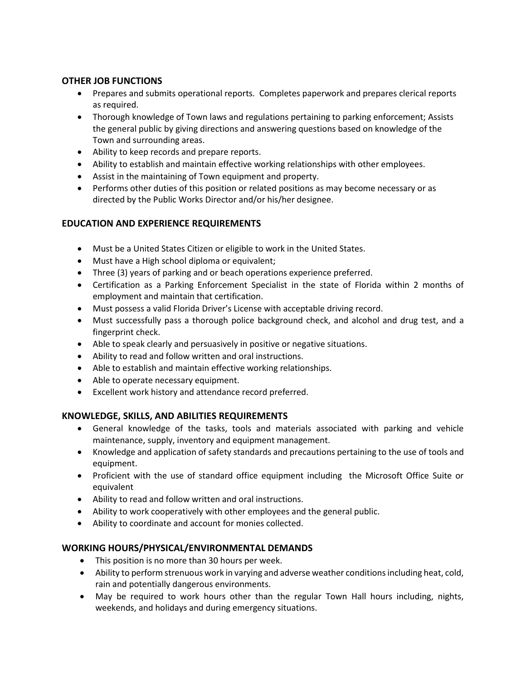### **OTHER JOB FUNCTIONS**

- Prepares and submits operational reports. Completes paperwork and prepares clerical reports as required.
- Thorough knowledge of Town laws and regulations pertaining to parking enforcement; Assists the general public by giving directions and answering questions based on knowledge of the Town and surrounding areas.
- Ability to keep records and prepare reports.
- Ability to establish and maintain effective working relationships with other employees.
- Assist in the maintaining of Town equipment and property.
- Performs other duties of this position or related positions as may become necessary or as directed by the Public Works Director and/or his/her designee.

# **EDUCATION AND EXPERIENCE REQUIREMENTS**

- Must be a United States Citizen or eligible to work in the United States.
- Must have a High school diploma or equivalent;
- Three (3) years of parking and or beach operations experience preferred.
- Certification as a Parking Enforcement Specialist in the state of Florida within 2 months of employment and maintain that certification.
- Must possess a valid Florida Driver's License with acceptable driving record.
- Must successfully pass a thorough police background check, and alcohol and drug test, and a fingerprint check.
- Able to speak clearly and persuasively in positive or negative situations.
- Ability to read and follow written and oral instructions.
- Able to establish and maintain effective working relationships.
- Able to operate necessary equipment.
- Excellent work history and attendance record preferred.

# **KNOWLEDGE, SKILLS, AND ABILITIES REQUIREMENTS**

- General knowledge of the tasks, tools and materials associated with parking and vehicle maintenance, supply, inventory and equipment management.
- Knowledge and application of safety standards and precautions pertaining to the use of tools and equipment.
- Proficient with the use of standard office equipment including the Microsoft Office Suite or equivalent
- Ability to read and follow written and oral instructions.
- Ability to work cooperatively with other employees and the general public.
- Ability to coordinate and account for monies collected.

# **WORKING HOURS/PHYSICAL/ENVIRONMENTAL DEMANDS**

- This position is no more than 30 hours per week.
- Ability to perform strenuous work in varying and adverse weather conditions including heat, cold, rain and potentially dangerous environments.
- May be required to work hours other than the regular Town Hall hours including, nights, weekends, and holidays and during emergency situations.